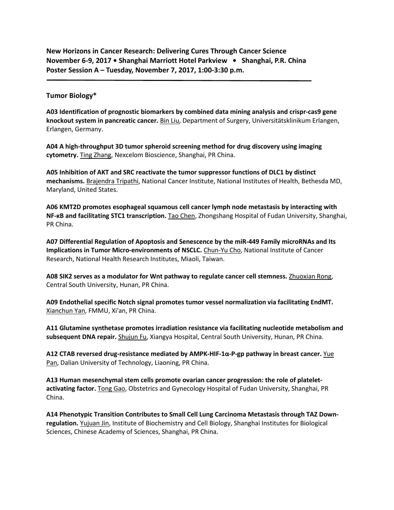**New Horizons in Cancer Research: Delivering Cures Through Cancer Science November 6-9, 2017 • Shanghai Marriott Hotel Parkview • Shanghai, P.R. China Poster Session A – Tuesday, November 7, 2017, 1:00-3:30 p.m.** 

# **Tumor Biology\***

**A03 Identification of prognostic biomarkers by combined data mining analysis and crispr-cas9 gene knockout system in pancreatic cancer.** Bin Liu, Department of Surgery, Universitätsklinikum Erlangen, Erlangen, Germany.

**A04 A high-throughput 3D tumor spheroid screening method for drug discovery using imaging cytometry.** Ting Zhang, Nexcelom Bioscience, Shanghai, PR China.

**A05 Inhibition of AKT and SRC reactivate the tumor suppressor functions of DLC1 by distinct mechanisms.** Brajendra Tripathi, National Cancer Institute, National Institutes of Health, Bethesda MD, Maryland, United States.

**A06 KMT2D promotes esophageal squamous cell cancer lymph node metastasis by interacting with NF-κB and facilitating STC1 transcription.** Tao Chen, Zhongshang Hospital of Fudan University, Shanghai, PR China.

**A07 Differential Regulation of Apoptosis and Senescence by the miR-449 Family microRNAs and Its Implications in Tumor Micro-environments of NSCLC.** Chun-Yu Cho, National Institute of Cancer Research, National Health Research Institutes, Miaoli, Taiwan.

**A08 SIK2 serves as a modulator for Wnt pathway to regulate cancer cell stemness.** Zhuoxian Rong, Central South University, Hunan, PR China.

**A09 Endothelial specific Notch signal promotes tumor vessel normalization via facilitating EndMT.**  Xianchun Yan, FMMU, Xi'an, PR China.

**A11 Glutamine synthetase promotes irradiation resistance via facilitating nucleotide metabolism and subsequent DNA repair.** Shujun Fu, Xiangya Hospital, Central South University, Hunan, PR China.

**A12 CTAB reversed drug-resistance mediated by AMPK-HIF-1α-P-gp pathway in breast cancer.** Yue Pan, Dalian University of Technology, Liaoning, PR China.

**A13 Human mesenchymal stem cells promote ovarian cancer progression: the role of plateletactivating factor.** Tong Gao, Obstetrics and Gynecology Hospital of Fudan University, Shanghai, PR China.

**A14 Phenotypic Transition Contributes to Small Cell Lung Carcinoma Metastasis through TAZ Downregulation.** Yujuan Jin, Institute of Biochemistry and Cell Biology, Shanghai Institutes for Biological Sciences, Chinese Academy of Sciences, Shanghai, PR China.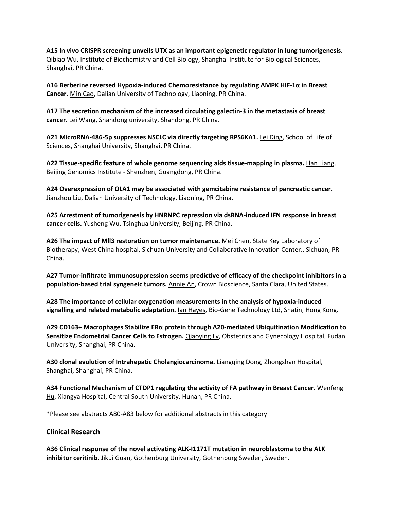**A15 In vivo CRISPR screening unveils UTX as an important epigenetic regulator in lung tumorigenesis.**  Qibiao Wu, Institute of Biochemistry and Cell Biology, Shanghai Institute for Biological Sciences, Shanghai, PR China.

**A16 Berberine reversed Hypoxia-induced Chemoresistance by regulating AMPK HIF-1α in Breast Cancer.** Min Cao, Dalian University of Technology, Liaoning, PR China.

**A17 The secretion mechanism of the increased circulating galectin-3 in the metastasis of breast cancer.** Lei Wang, Shandong university, Shandong, PR China.

**A21 MicroRNA-486-5p suppresses NSCLC via directly targeting RPS6KA1.** Lei Ding, School of Life of Sciences, Shanghai University, Shanghai, PR China.

**A22 Tissue-specific feature of whole genome sequencing aids tissue-mapping in plasma.** Han Liang, Beijing Genomics Institute - Shenzhen, Guangdong, PR China.

**A24 Overexpression of OLA1 may be associated with gemcitabine resistance of pancreatic cancer.**  Jianzhou Liu, Dalian University of Technology, Liaoning, PR China.

**A25 Arrestment of tumorigenesis by HNRNPC repression via dsRNA-induced IFN response in breast cancer cells.** Yusheng Wu, Tsinghua University, Beijing, PR China.

**A26 The impact of Mll3 restoration on tumor maintenance.** Mei Chen, State Key Laboratory of Biotherapy, West China hospital, Sichuan University and Collaborative Innovation Center., Sichuan, PR China.

**A27 Tumor-infiltrate immunosuppression seems predictive of efficacy of the checkpoint inhibitors in a population-based trial syngeneic tumors.** Annie An, Crown Bioscience, Santa Clara, United States.

**A28 The importance of cellular oxygenation measurements in the analysis of hypoxia-induced signalling and related metabolic adaptation.** Ian Hayes, Bio-Gene Technology Ltd, Shatin, Hong Kong.

**A29 CD163+ Macrophages Stabilize ERα protein through A20-mediated Ubiquitination Modification to**  Sensitize Endometrial Cancer Cells to Estrogen. **Qiaoying Lv**, Obstetrics and Gynecology Hospital, Fudan University, Shanghai, PR China.

**A30 clonal evolution of Intrahepatic Cholangiocarcinoma.** Liangqing Dong, Zhongshan Hospital, Shanghai, Shanghai, PR China.

**A34 Functional Mechanism of CTDP1 regulating the activity of FA pathway in Breast Cancer.** Wenfeng Hu, Xiangya Hospital, Central South University, Hunan, PR China.

\*Please see abstracts A80-A83 below for additional abstracts in this category

## **Clinical Research**

**A36 Clinical response of the novel activating ALK-I1171T mutation in neuroblastoma to the ALK inhibitor ceritinib.** Jikui Guan, Gothenburg University, Gothenburg Sweden, Sweden.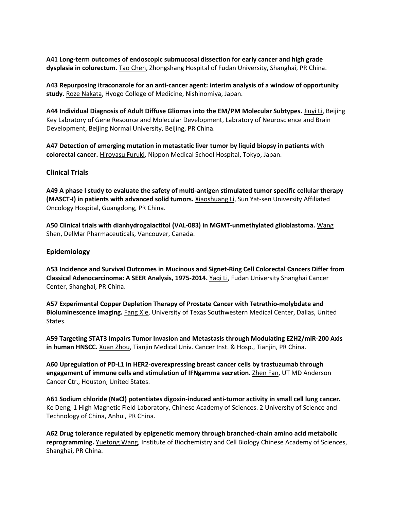**A41 Long-term outcomes of endoscopic submucosal dissection for early cancer and high grade dysplasia in colorectum.** Tao Chen, Zhongshang Hospital of Fudan University, Shanghai, PR China.

**A43 Repurposing itraconazole for an anti-cancer agent: interim analysis of a window of opportunity study.** Roze Nakata, Hyogo College of Medicine, Nishinomiya, Japan.

**A44 Individual Diagnosis of Adult Diffuse Gliomas into the EM/PM Molecular Subtypes.** Jiuyi Li, Beijing Key Labratory of Gene Resource and Molecular Development, Labratory of Neuroscience and Brain Development, Beijing Normal University, Beijing, PR China.

**A47 Detection of emerging mutation in metastatic liver tumor by liquid biopsy in patients with colorectal cancer.** Hiroyasu Furuki, Nippon Medical School Hospital, Tokyo, Japan.

#### **Clinical Trials**

**A49 A phase I study to evaluate the safety of multi-antigen stimulated tumor specific cellular therapy (MASCT-I) in patients with advanced solid tumors.** Xiaoshuang Li, Sun Yat-sen University Affiliated Oncology Hospital, Guangdong, PR China.

**A50 Clinical trials with dianhydrogalactitol (VAL-083) in MGMT-unmethylated glioblastoma.** Wang Shen, DelMar Pharmaceuticals, Vancouver, Canada.

#### **Epidemiology**

**A53 Incidence and Survival Outcomes in Mucinous and Signet-Ring Cell Colorectal Cancers Differ from Classical Adenocarcinoma: A SEER Analysis, 1975-2014.** Yaqi Li, Fudan University Shanghai Cancer Center, Shanghai, PR China.

**A57 Experimental Copper Depletion Therapy of Prostate Cancer with Tetrathio-molybdate and Bioluminescence imaging.** Fang Xie, University of Texas Southwestern Medical Center, Dallas, United States.

**A59 Targeting STAT3 Impairs Tumor Invasion and Metastasis through Modulating EZH2/miR-200 Axis in human HNSCC.** Xuan Zhou, Tianjin Medical Univ. Cancer Inst. & Hosp., Tianjin, PR China.

**A60 Upregulation of PD-L1 in HER2-overexpressing breast cancer cells by trastuzumab through**  engagement of immune cells and stimulation of IFNgamma secretion. **Zhen Fan, UT MD Anderson** Cancer Ctr., Houston, United States.

**A61 Sodium chloride (NaCl) potentiates digoxin-induced anti-tumor activity in small cell lung cancer.**  Ke Deng, 1 High Magnetic Field Laboratory, Chinese Academy of Sciences. 2 University of Science and Technology of China, Anhui, PR China.

**A62 Drug tolerance regulated by epigenetic memory through branched-chain amino acid metabolic reprogramming.** Yuetong Wang, Institute of Biochemistry and Cell Biology Chinese Academy of Sciences, Shanghai, PR China.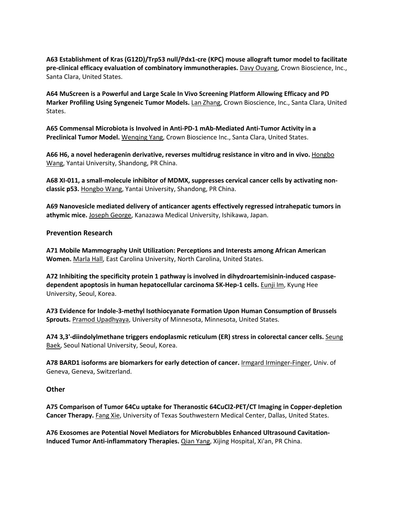**A63 Establishment of Kras (G12D)/Trp53 null/Pdx1-cre (KPC) mouse allograft tumor model to facilitate pre-clinical efficacy evaluation of combinatory immunotherapies.** Davy Ouyang, Crown Bioscience, Inc., Santa Clara, United States.

**A64 MuScreen is a Powerful and Large Scale In Vivo Screening Platform Allowing Efficacy and PD Marker Profiling Using Syngeneic Tumor Models.** Lan Zhang, Crown Bioscience, Inc., Santa Clara, United States.

**A65 Commensal Microbiota is Involved in Anti-PD-1 mAb-Mediated Anti-Tumor Activity in a Preclinical Tumor Model.** Wenqing Yang, Crown Bioscience Inc., Santa Clara, United States.

A66 H6, a novel hederagenin derivative, reverses multidrug resistance in vitro and in vivo. **Hongbo** Wang, Yantai University, Shandong, PR China.

**A68 XI-011, a small-molecule inhibitor of MDMX, suppresses cervical cancer cells by activating nonclassic p53.** Hongbo Wang, Yantai University, Shandong, PR China.

**A69 Nanovesicle mediated delivery of anticancer agents effectively regressed intrahepatic tumors in athymic mice.** Joseph George, Kanazawa Medical University, Ishikawa, Japan.

## **Prevention Research**

**A71 Mobile Mammography Unit Utilization: Perceptions and Interests among African American Women.** Marla Hall, East Carolina University, North Carolina, United States.

**A72 Inhibiting the specificity protein 1 pathway is involved in dihydroartemisinin-induced caspasedependent apoptosis in human hepatocellular carcinoma SK-Hep-1 cells.** Eunji Im, Kyung Hee University, Seoul, Korea.

**A73 Evidence for Indole-3-methyl Isothiocyanate Formation Upon Human Consumption of Brussels Sprouts.** Pramod Upadhyaya, University of Minnesota, Minnesota, United States.

**A74 3,3'-diindolylmethane triggers endoplasmic reticulum (ER) stress in colorectal cancer cells.** Seung Baek, Seoul National University, Seoul, Korea.

**A78 BARD1 isoforms are biomarkers for early detection of cancer.** Irmgard Irminger-Finger, Univ. of Geneva, Geneva, Switzerland.

## **Other**

**A75 Comparison of Tumor 64Cu uptake for Theranostic 64CuCl2-PET/CT Imaging in Copper-depletion Cancer Therapy.** Fang Xie, University of Texas Southwestern Medical Center, Dallas, United States.

**A76 Exosomes are Potential Novel Mediators for Microbubbles Enhanced Ultrasound Cavitation-Induced Tumor Anti-inflammatory Therapies.** Qian Yang, Xijing Hospital, Xi'an, PR China.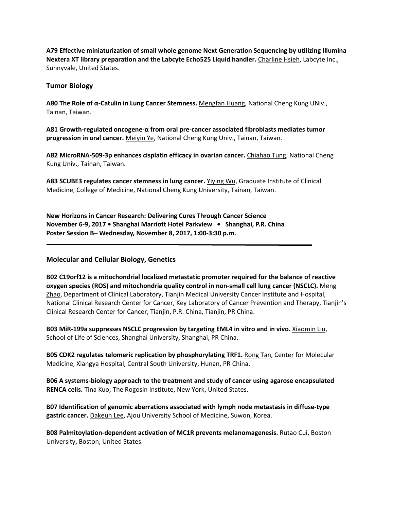**A79 Effective miniaturization of small whole genome Next Generation Sequencing by utilizing Illumina Nextera XT library preparation and the Labcyte Echo525 Liquid handler.** Charline Hsieh, Labcyte Inc., Sunnyvale, United States.

## **Tumor Biology**

**A80 The Role of α-Catulin in Lung Cancer Stemness.** Mengfan Huang, National Cheng Kung UNiv., Tainan, Taiwan.

**A81 Growth-regulated oncogene-α from oral pre-cancer associated fibroblasts mediates tumor progression in oral cancer.** Meiyin Ye, National Cheng Kung Univ., Tainan, Taiwan.

**A82 MicroRNA-509-3p enhances cisplatin efficacy in ovarian cancer.** Chiahao Tung, National Cheng Kung Univ., Tainan, Taiwan.

**A83 SCUBE3 regulates cancer stemness in lung cancer.** Yiying Wu, Graduate Institute of Clinical Medicine, College of Medicine, National Cheng Kung University, Tainan, Taiwan.

**New Horizons in Cancer Research: Delivering Cures Through Cancer Science November 6-9, 2017 • Shanghai Marriott Hotel Parkview • Shanghai, P.R. China Poster Session B– Wednesday, November 8, 2017, 1:00-3:30 p.m.** 

# **Molecular and Cellular Biology, Genetics**

**B02 C19orf12 is a mitochondrial localized metastatic promoter required for the balance of reactive oxygen species (ROS) and mitochondria quality control in non-small cell lung cancer (NSCLC).** Meng Zhao, Department of Clinical Laboratory, Tianjin Medical University Cancer Institute and Hospital, National Clinical Research Center for Cancer, Key Laboratory of Cancer Prevention and Therapy, Tianjin's Clinical Research Center for Cancer, Tianjin, P.R. China, Tianjin, PR China.

**B03 MiR-199a suppresses NSCLC progression by targeting EML4 in vitro and in vivo.** Xiaomin Liu, School of Life of Sciences, Shanghai University, Shanghai, PR China.

**B05 CDK2 regulates telomeric replication by phosphorylating TRF1.** Rong Tan, Center for Molecular Medicine, Xiangya Hospital, Central South University, Hunan, PR China.

**B06 A systems-biology approach to the treatment and study of cancer using agarose encapsulated RENCA cells.** Tina Kuo, The Rogosin Institute, New York, United States.

**B07 Identification of genomic aberrations associated with lymph node metastasis in diffuse-type gastric cancer.** Dakeun Lee, Ajou University School of Medicine, Suwon, Korea.

**B08 Palmitoylation-dependent activation of MC1R prevents melanomagenesis.** Rutao Cui, Boston University, Boston, United States.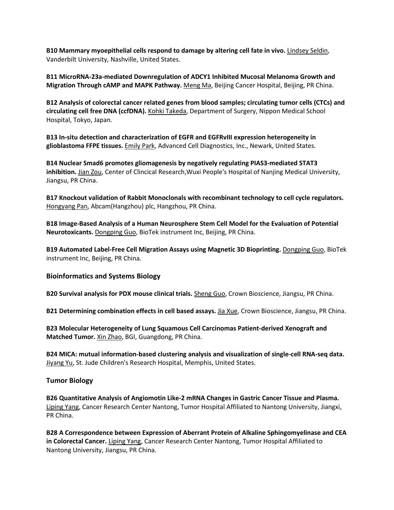**B10 Mammary myoepithelial cells respond to damage by altering cell fate in vivo.** Lindsey Seldin, Vanderbilt University, Nashville, United States.

**B11 MicroRNA-23a-mediated Downregulation of ADCY1 Inhibited Mucosal Melanoma Growth and Migration Through cAMP and MAPK Pathway.** Meng Ma, Beijing Cancer Hospital, Beijing, PR China.

**B12 Analysis of colorectal cancer related genes from blood samples; circulating tumor cells (CTCs) and circulating cell free DNA (ccfDNA).** Kohki Takeda, Department of Surgery, Nippon Medical School Hospital, Tokyo, Japan.

**B13 In-situ detection and characterization of EGFR and EGFRvIII expression heterogeneity in glioblastoma FFPE tissues.** Emily Park, Advanced Cell Diagnostics, Inc., Newark, United States.

**B14 Nuclear Smad6 promotes gliomagenesis by negatively regulating PIAS3-mediated STAT3 inhibition.** Jian Zou, Center of Clincical Research,Wuxi People's Hospital of Nanjing Medical University, Jiangsu, PR China.

**B17 Knockout validation of Rabbit Monoclonals with recombinant technology to cell cycle regulators.**  Hongyang Pan, Abcam(Hangzhou) plc, Hangzhou, PR China.

**B18 Image-Based Analysis of a Human Neurosphere Stem Cell Model for the Evaluation of Potential Neurotoxicants.** Dongping Guo, BioTek instrument Inc, Beijing, PR China.

**B19 Automated Label-Free Cell Migration Assays using Magnetic 3D Bioprinting.** Dongping Guo, BioTek instrument Inc, Beijing, PR China.

**Bioinformatics and Systems Biology**

**B20 Survival analysis for PDX mouse clinical trials.** Sheng Guo, Crown Bioscience, Jiangsu, PR China.

**B21 Determining combination effects in cell based assays.** Jia Xue, Crown Bioscience, Jiangsu, PR China.

**B23 Molecular Heterogeneity of Lung Squamous Cell Carcinomas Patient-derived Xenograft and Matched Tumor.** Xin Zhao, BGI, Guangdong, PR China.

**B24 MICA: mutual information-based clustering analysis and visualization of single-cell RNA-seq data.**  Jiyang Yu, St. Jude Children's Research Hospital, Memphis, United States.

## **Tumor Biology**

**B26 Quantitative Analysis of Angiomotin Like-2 mRNA Changes in Gastric Cancer Tissue and Plasma.**  Liping Yang, Cancer Research Center Nantong, Tumor Hospital Affiliated to Nantong University, Jiangxi, PR China.

**B28 A Correspondence between Expression of Aberrant Protein of Alkaline Sphingomyelinase and CEA in Colorectal Cancer.** Liping Yang, Cancer Research Center Nantong, Tumor Hospital Affiliated to Nantong University, Jiangsu, PR China.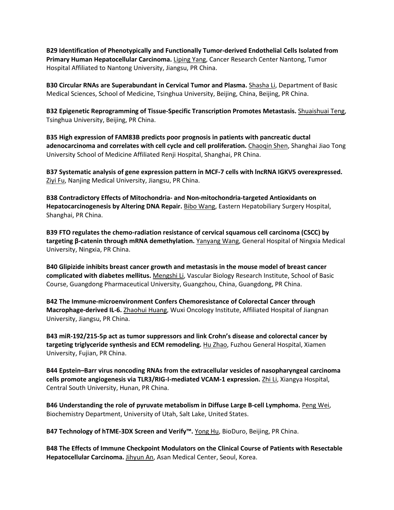**B29 Identification of Phenotypically and Functionally Tumor-derived Endothelial Cells Isolated from Primary Human Hepatocellular Carcinoma.** Liping Yang, Cancer Research Center Nantong, Tumor Hospital Affiliated to Nantong University, Jiangsu, PR China.

**B30 Circular RNAs are Superabundant in Cervical Tumor and Plasma.** Shasha Li, Department of Basic Medical Sciences, School of Medicine, Tsinghua University, Beijing, China, Beijing, PR China.

**B32 Epigenetic Reprogramming of Tissue-Specific Transcription Promotes Metastasis.** Shuaishuai Teng, Tsinghua University, Beijing, PR China.

**B35 High expression of FAM83B predicts poor prognosis in patients with pancreatic ductal adenocarcinoma and correlates with cell cycle and cell proliferation.** Chaoqin Shen, Shanghai Jiao Tong University School of Medicine Affiliated Renji Hospital, Shanghai, PR China.

**B37 Systematic analysis of gene expression pattern in MCF-7 cells with lncRNA IGKV5 overexpressed.**  Ziyi Fu, Nanjing Medical University, Jiangsu, PR China.

**B38 Contradictory Effects of Mitochondria- and Non-mitochondria-targeted Antioxidants on Hepatocarcinogenesis by Altering DNA Repair.** Bibo Wang, Eastern Hepatobiliary Surgery Hospital, Shanghai, PR China.

**B39 FTO regulates the chemo-radiation resistance of cervical squamous cell carcinoma (CSCC) by targeting β-catenin through mRNA demethylation.** Yanyang Wang, General Hospital of Ningxia Medical University, Ningxia, PR China.

**B40 Glipizide inhibits breast cancer growth and metastasis in the mouse model of breast cancer complicated with diabetes mellitus.** Mengshi Li, Vascular Biology Research Institute, School of Basic Course, Guangdong Pharmaceutical University, Guangzhou, China, Guangdong, PR China.

**B42 The Immune-microenvironment Confers Chemoresistance of Colorectal Cancer through Macrophage-derived IL-6.** Zhaohui Huang, Wuxi Oncology Institute, Affiliated Hospital of Jiangnan University, Jiangsu, PR China.

**B43 miR-192/215-5p act as tumor suppressors and link Crohn's disease and colorectal cancer by targeting triglyceride synthesis and ECM remodeling.** Hu Zhao, Fuzhou General Hospital, Xiamen University, Fujian, PR China.

**B44 Epstein–Barr virus noncoding RNAs from the extracellular vesicles of nasopharyngeal carcinoma cells promote angiogenesis via TLR3/RIG-I-mediated VCAM-1 expression.** Zhi Li, Xiangya Hospital, Central South University, Hunan, PR China.

**B46 Understanding the role of pyruvate metabolism in Diffuse Large B-cell Lymphoma.** Peng Wei, Biochemistry Department, University of Utah, Salt Lake, United States.

**B47 Technology of hTME-3DX Screen and Verify™.** Yong Hu, BioDuro, Beijing, PR China.

**B48 The Effects of Immune Checkpoint Modulators on the Clinical Course of Patients with Resectable Hepatocellular Carcinoma.** Jihyun An, Asan Medical Center, Seoul, Korea.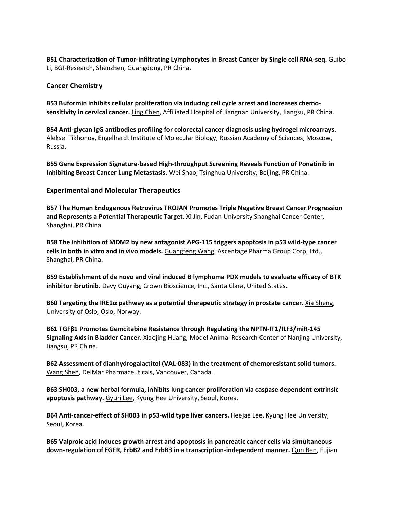**B51 Characterization of Tumor-infiltrating Lymphocytes in Breast Cancer by Single cell RNA-seq.** Guibo Li, BGI-Research, Shenzhen, Guangdong, PR China.

#### **Cancer Chemistry**

**B53 Buformin inhibits cellular proliferation via inducing cell cycle arrest and increases chemosensitivity in cervical cancer.** Ling Chen, Affiliated Hospital of Jiangnan University, Jiangsu, PR China.

**B54 Anti-glycan IgG antibodies profiling for colorectal cancer diagnosis using hydrogel microarrays.**  Aleksei Tikhonov, Engelhardt Institute of Molecular Biology, Russian Academy of Sciences, Moscow, Russia.

**B55 Gene Expression Signature-based High-throughput Screening Reveals Function of Ponatinib in Inhibiting Breast Cancer Lung Metastasis.** Wei Shao, Tsinghua University, Beijing, PR China.

#### **Experimental and Molecular Therapeutics**

**B57 The Human Endogenous Retrovirus TROJAN Promotes Triple Negative Breast Cancer Progression and Represents a Potential Therapeutic Target.** Xi Jin, Fudan University Shanghai Cancer Center, Shanghai, PR China.

**B58 The inhibition of MDM2 by new antagonist APG-115 triggers apoptosis in p53 wild-type cancer cells in both in vitro and in vivo models.** Guangfeng Wang, Ascentage Pharma Group Corp, Ltd., Shanghai, PR China.

**B59 Establishment of de novo and viral induced B lymphoma PDX models to evaluate efficacy of BTK inhibitor ibrutinib.** Davy Ouyang, Crown Bioscience, Inc., Santa Clara, United States.

**B60 Targeting the IRE1α pathway as a potential therapeutic strategy in prostate cancer.** Xia Sheng, University of Oslo, Oslo, Norway.

**B61 TGFβ1 Promotes Gemcitabine Resistance through Regulating the NPTN-IT1/ILF3/miR-145 Signaling Axis in Bladder Cancer.** Xiaojing Huang, Model Animal Research Center of Nanjing University, Jiangsu, PR China.

**B62 Assessment of dianhydrogalactitol (VAL-083) in the treatment of chemoresistant solid tumors.**  Wang Shen, DelMar Pharmaceuticals, Vancouver, Canada.

**B63 SH003, a new herbal formula, inhibits lung cancer proliferation via caspase dependent extrinsic apoptosis pathway.** Gyuri Lee, Kyung Hee University, Seoul, Korea.

B64 Anti-cancer-effect of SH003 in p53-wild type liver cancers. Heejae Lee, Kyung Hee University, Seoul, Korea.

**B65 Valproic acid induces growth arrest and apoptosis in pancreatic cancer cells via simultaneous down-regulation of EGFR, ErbB2 and ErbB3 in a transcription-independent manner.** Qun Ren, Fujian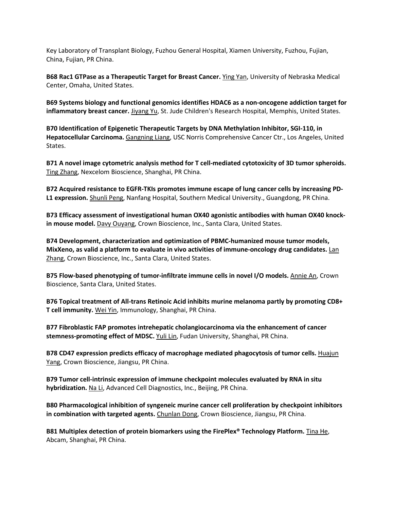Key Laboratory of Transplant Biology, Fuzhou General Hospital, Xiamen University, Fuzhou, Fujian, China, Fujian, PR China.

**B68 Rac1 GTPase as a Therapeutic Target for Breast Cancer.** Ying Yan, University of Nebraska Medical Center, Omaha, United States.

**B69 Systems biology and functional genomics identifies HDAC6 as a non-oncogene addiction target for inflammatory breast cancer.** Jiyang Yu, St. Jude Children's Research Hospital, Memphis, United States.

**B70 Identification of Epigenetic Therapeutic Targets by DNA Methylation Inhibitor, SGI-110, in Hepatocellular Carcinoma.** Gangning Liang, USC Norris Comprehensive Cancer Ctr., Los Angeles, United States.

**B71 A novel image cytometric analysis method for T cell-mediated cytotoxicity of 3D tumor spheroids.**  Ting Zhang, Nexcelom Bioscience, Shanghai, PR China.

**B72 Acquired resistance to EGFR-TKIs promotes immune escape of lung cancer cells by increasing PD-L1 expression.** Shunli Peng, Nanfang Hospital, Southern Medical University., Guangdong, PR China.

**B73 Efficacy assessment of investigational human OX40 agonistic antibodies with human OX40 knockin mouse model.** Davy Ouyang, Crown Bioscience, Inc., Santa Clara, United States.

**B74 Development, characterization and optimization of PBMC-humanized mouse tumor models, MixXeno, as valid a platform to evaluate in vivo activities of immune-oncology drug candidates.** Lan Zhang, Crown Bioscience, Inc., Santa Clara, United States.

**B75 Flow-based phenotyping of tumor-infiltrate immune cells in novel I/O models.** Annie An, Crown Bioscience, Santa Clara, United States.

**B76 Topical treatment of All-trans Retinoic Acid inhibits murine melanoma partly by promoting CD8+ T cell immunity.** Wei Yin, Immunology, Shanghai, PR China.

**B77 Fibroblastic FAP promotes intrehepatic cholangiocarcinoma via the enhancement of cancer stemness-promoting effect of MDSC.** Yuli Lin, Fudan University, Shanghai, PR China.

**B78 CD47 expression predicts efficacy of macrophage mediated phagocytosis of tumor cells.** Huajun Yang, Crown Bioscience, Jiangsu, PR China.

**B79 Tumor cell-intrinsic expression of immune checkpoint molecules evaluated by RNA in situ hybridization.** Na Li, Advanced Cell Diagnostics, Inc., Beijing, PR China.

**B80 Pharmacological inhibition of syngeneic murine cancer cell proliferation by checkpoint inhibitors in combination with targeted agents.** Chunlan Dong, Crown Bioscience, Jiangsu, PR China.

**B81 Multiplex detection of protein biomarkers using the FirePlex® Technology Platform.** Tina He, Abcam, Shanghai, PR China.